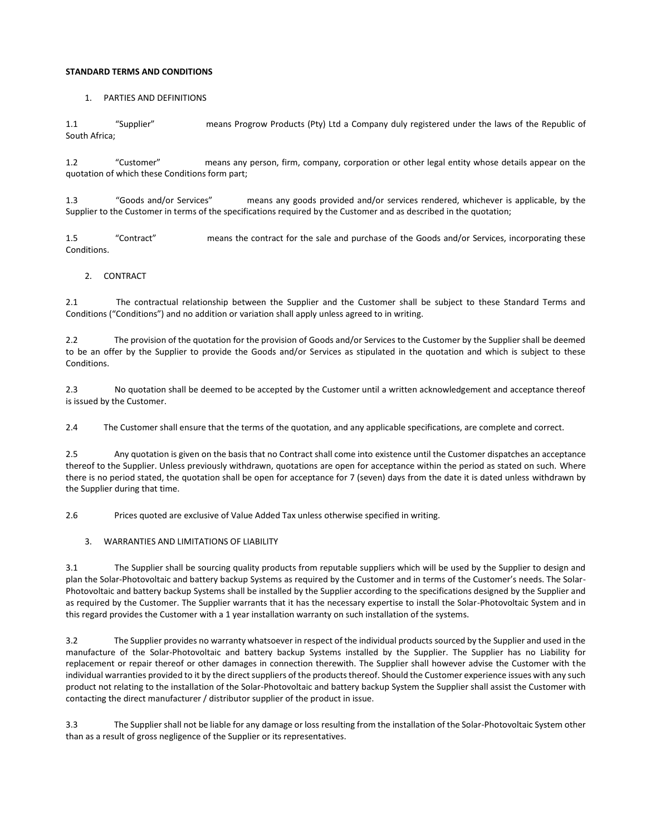# **STANDARD TERMS AND CONDITIONS**

## 1. PARTIES AND DEFINITIONS

1.1 "Supplier" means Progrow Products (Pty) Ltd a Company duly registered under the laws of the Republic of South Africa;

1.2 "Customer" means any person, firm, company, corporation or other legal entity whose details appear on the quotation of which these Conditions form part;

1.3 "Goods and/or Services" means any goods provided and/or services rendered, whichever is applicable, by the Supplier to the Customer in terms of the specifications required by the Customer and as described in the quotation;

1.5 "Contract" means the contract for the sale and purchase of the Goods and/or Services, incorporating these Conditions.

## 2. CONTRACT

2.1 The contractual relationship between the Supplier and the Customer shall be subject to these Standard Terms and Conditions ("Conditions") and no addition or variation shall apply unless agreed to in writing.

2.2 The provision of the quotation for the provision of Goods and/or Services to the Customer by the Supplier shall be deemed to be an offer by the Supplier to provide the Goods and/or Services as stipulated in the quotation and which is subject to these Conditions.

2.3 No quotation shall be deemed to be accepted by the Customer until a written acknowledgement and acceptance thereof is issued by the Customer.

2.4 The Customer shall ensure that the terms of the quotation, and any applicable specifications, are complete and correct.

2.5 Any quotation is given on the basis that no Contract shall come into existence until the Customer dispatches an acceptance thereof to the Supplier. Unless previously withdrawn, quotations are open for acceptance within the period as stated on such. Where there is no period stated, the quotation shall be open for acceptance for 7 (seven) days from the date it is dated unless withdrawn by the Supplier during that time.

2.6 Prices quoted are exclusive of Value Added Tax unless otherwise specified in writing.

3. WARRANTIES AND LIMITATIONS OF LIABILITY

3.1 The Supplier shall be sourcing quality products from reputable suppliers which will be used by the Supplier to design and plan the Solar-Photovoltaic and battery backup Systems as required by the Customer and in terms of the Customer's needs. The Solar-Photovoltaic and battery backup Systems shall be installed by the Supplier according to the specifications designed by the Supplier and as required by the Customer. The Supplier warrants that it has the necessary expertise to install the Solar-Photovoltaic System and in this regard provides the Customer with a 1 year installation warranty on such installation of the systems.

3.2 The Supplier provides no warranty whatsoever in respect of the individual products sourced by the Supplier and used in the manufacture of the Solar-Photovoltaic and battery backup Systems installed by the Supplier. The Supplier has no Liability for replacement or repair thereof or other damages in connection therewith. The Supplier shall however advise the Customer with the individual warranties provided to it by the direct suppliers of the products thereof. Should the Customer experience issues with any such product not relating to the installation of the Solar-Photovoltaic and battery backup System the Supplier shall assist the Customer with contacting the direct manufacturer / distributor supplier of the product in issue.

3.3 The Supplier shall not be liable for any damage or loss resulting from the installation of the Solar-Photovoltaic System other than as a result of gross negligence of the Supplier or its representatives.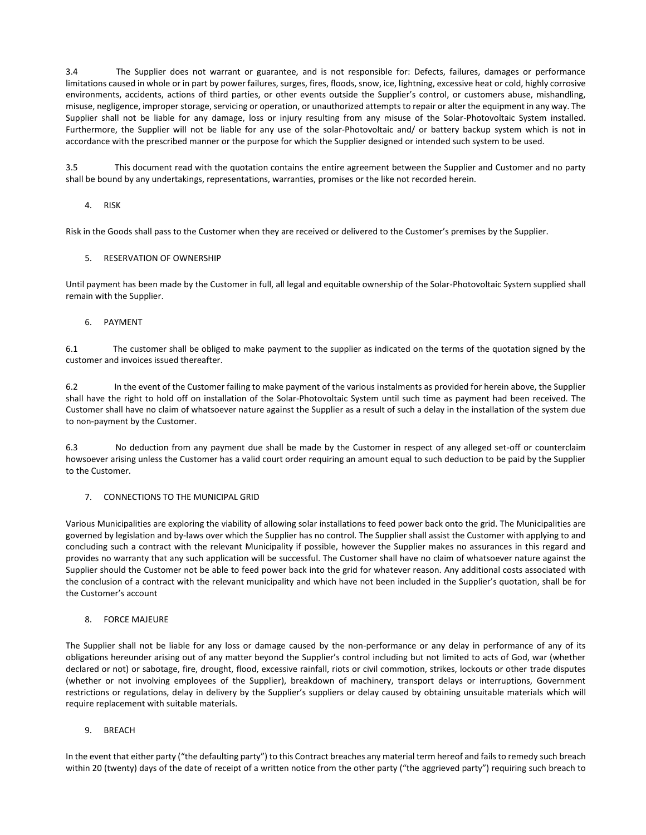3.4 The Supplier does not warrant or guarantee, and is not responsible for: Defects, failures, damages or performance limitations caused in whole or in part by power failures, surges, fires, floods, snow, ice, lightning, excessive heat or cold, highly corrosive environments, accidents, actions of third parties, or other events outside the Supplier's control, or customers abuse, mishandling, misuse, negligence, improper storage, servicing or operation, or unauthorized attempts to repair or alter the equipment in any way. The Supplier shall not be liable for any damage, loss or injury resulting from any misuse of the Solar-Photovoltaic System installed. Furthermore, the Supplier will not be liable for any use of the solar-Photovoltaic and/ or battery backup system which is not in accordance with the prescribed manner or the purpose for which the Supplier designed or intended such system to be used.

3.5 This document read with the quotation contains the entire agreement between the Supplier and Customer and no party shall be bound by any undertakings, representations, warranties, promises or the like not recorded herein.

#### 4. RISK

Risk in the Goods shall pass to the Customer when they are received or delivered to the Customer's premises by the Supplier.

## 5. RESERVATION OF OWNERSHIP

Until payment has been made by the Customer in full, all legal and equitable ownership of the Solar-Photovoltaic System supplied shall remain with the Supplier.

## 6. PAYMENT

6.1 The customer shall be obliged to make payment to the supplier as indicated on the terms of the quotation signed by the customer and invoices issued thereafter.

6.2 In the event of the Customer failing to make payment of the various instalments as provided for herein above, the Supplier shall have the right to hold off on installation of the Solar-Photovoltaic System until such time as payment had been received. The Customer shall have no claim of whatsoever nature against the Supplier as a result of such a delay in the installation of the system due to non-payment by the Customer.

6.3 No deduction from any payment due shall be made by the Customer in respect of any alleged set-off or counterclaim howsoever arising unless the Customer has a valid court order requiring an amount equal to such deduction to be paid by the Supplier to the Customer.

#### 7. CONNECTIONS TO THE MUNICIPAL GRID

Various Municipalities are exploring the viability of allowing solar installations to feed power back onto the grid. The Municipalities are governed by legislation and by-laws over which the Supplier has no control. The Supplier shall assist the Customer with applying to and concluding such a contract with the relevant Municipality if possible, however the Supplier makes no assurances in this regard and provides no warranty that any such application will be successful. The Customer shall have no claim of whatsoever nature against the Supplier should the Customer not be able to feed power back into the grid for whatever reason. Any additional costs associated with the conclusion of a contract with the relevant municipality and which have not been included in the Supplier's quotation, shall be for the Customer's account

#### 8. FORCE MAJEURE

The Supplier shall not be liable for any loss or damage caused by the non-performance or any delay in performance of any of its obligations hereunder arising out of any matter beyond the Supplier's control including but not limited to acts of God, war (whether declared or not) or sabotage, fire, drought, flood, excessive rainfall, riots or civil commotion, strikes, lockouts or other trade disputes (whether or not involving employees of the Supplier), breakdown of machinery, transport delays or interruptions, Government restrictions or regulations, delay in delivery by the Supplier's suppliers or delay caused by obtaining unsuitable materials which will require replacement with suitable materials.

#### 9. BREACH

In the event that either party ("the defaulting party") to this Contract breaches any material term hereof and fails to remedy such breach within 20 (twenty) days of the date of receipt of a written notice from the other party ("the aggrieved party") requiring such breach to